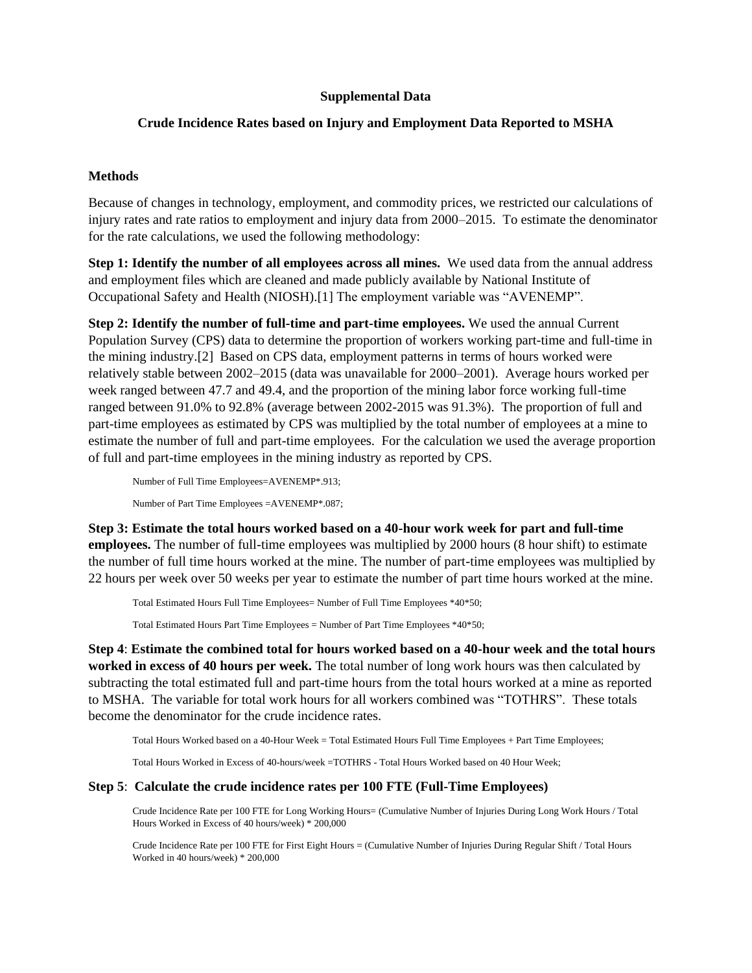## **Supplemental Data**

# **Crude Incidence Rates based on Injury and Employment Data Reported to MSHA**

# **Methods**

Because of changes in technology, employment, and commodity prices, we restricted our calculations of injury rates and rate ratios to employment and injury data from 2000–2015. To estimate the denominator for the rate calculations, we used the following methodology:

**Step 1: Identify the number of all employees across all mines.** We used data from the annual address and employment files which are cleaned and made publicly available by National Institute of Occupational Safety and Health (NIOSH).[1] The employment variable was "AVENEMP".

**Step 2: Identify the number of full-time and part-time employees.** We used the annual Current Population Survey (CPS) data to determine the proportion of workers working part-time and full-time in the mining industry.[2] Based on CPS data, employment patterns in terms of hours worked were relatively stable between 2002–2015 (data was unavailable for 2000–2001). Average hours worked per week ranged between 47.7 and 49.4, and the proportion of the mining labor force working full-time ranged between 91.0% to 92.8% (average between 2002-2015 was 91.3%). The proportion of full and part-time employees as estimated by CPS was multiplied by the total number of employees at a mine to estimate the number of full and part-time employees. For the calculation we used the average proportion of full and part-time employees in the mining industry as reported by CPS.

Number of Full Time Employees=AVENEMP\*.913; Number of Part Time Employees =AVENEMP\*.087;

**Step 3: Estimate the total hours worked based on a 40-hour work week for part and full-time employees.** The number of full-time employees was multiplied by 2000 hours (8 hour shift) to estimate the number of full time hours worked at the mine. The number of part-time employees was multiplied by 22 hours per week over 50 weeks per year to estimate the number of part time hours worked at the mine.

Total Estimated Hours Full Time Employees= Number of Full Time Employees \*40\*50;

Total Estimated Hours Part Time Employees = Number of Part Time Employees \*40\*50;

**Step 4**: **Estimate the combined total for hours worked based on a 40-hour week and the total hours worked in excess of 40 hours per week.** The total number of long work hours was then calculated by subtracting the total estimated full and part-time hours from the total hours worked at a mine as reported to MSHA. The variable for total work hours for all workers combined was "TOTHRS". These totals become the denominator for the crude incidence rates.

Total Hours Worked based on a 40-Hour Week = Total Estimated Hours Full Time Employees + Part Time Employees;

Total Hours Worked in Excess of 40-hours/week =TOTHRS - Total Hours Worked based on 40 Hour Week;

#### **Step 5**: **Calculate the crude incidence rates per 100 FTE (Full-Time Employees)**

Crude Incidence Rate per 100 FTE for Long Working Hours= (Cumulative Number of Injuries During Long Work Hours / Total Hours Worked in Excess of 40 hours/week) \* 200,000

Crude Incidence Rate per 100 FTE for First Eight Hours = (Cumulative Number of Injuries During Regular Shift / Total Hours Worked in 40 hours/week) \* 200,000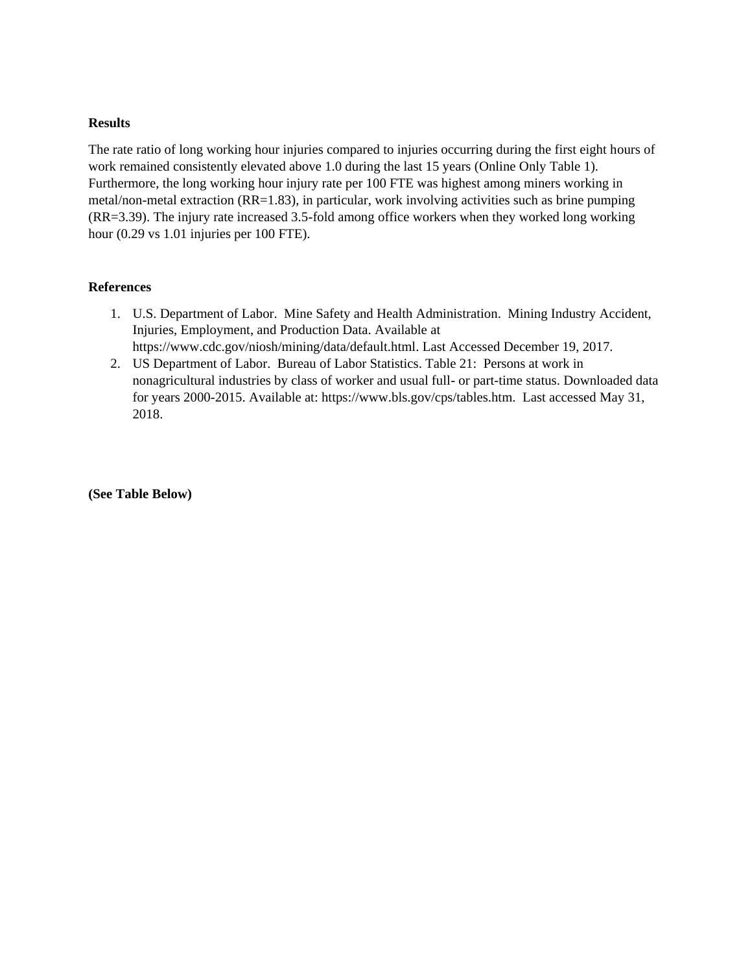### **Results**

The rate ratio of long working hour injuries compared to injuries occurring during the first eight hours of work remained consistently elevated above 1.0 during the last 15 years (Online Only Table 1). Furthermore, the long working hour injury rate per 100 FTE was highest among miners working in metal/non-metal extraction (RR=1.83), in particular, work involving activities such as brine pumping (RR=3.39). The injury rate increased 3.5-fold among office workers when they worked long working hour (0.29 vs 1.01 injuries per 100 FTE).

# **References**

- 1. U.S. Department of Labor. Mine Safety and Health Administration. Mining Industry Accident, Injuries, Employment, and Production Data. Available at https://www.cdc.gov/niosh/mining/data/default.html. Last Accessed December 19, 2017.
- 2. US Department of Labor. Bureau of Labor Statistics. Table 21: Persons at work in nonagricultural industries by class of worker and usual full- or part-time status. Downloaded data for years 2000-2015. Available at: https://www.bls.gov/cps/tables.htm. Last accessed May 31, 2018.

**(See Table Below)**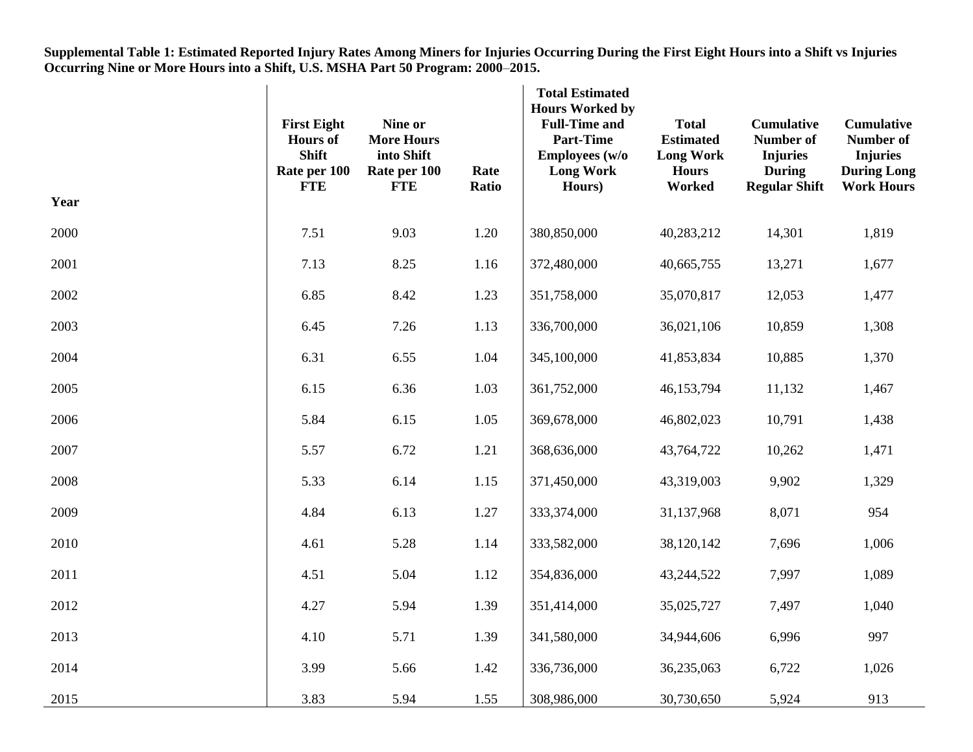**Supplemental Table 1: Estimated Reported Injury Rates Among Miners for Injuries Occurring During the First Eight Hours into a Shift vs Injuries Occurring Nine or More Hours into a Shift, U.S. MSHA Part 50 Program: 2000**–**2015.**

| Year | <b>First Eight</b><br><b>Hours</b> of<br><b>Shift</b><br>Rate per 100<br><b>FTE</b> | Nine or<br><b>More Hours</b><br>into Shift<br>Rate per 100<br><b>FTE</b> | Rate<br>Ratio | <b>Total Estimated</b><br><b>Hours Worked by</b><br><b>Full-Time and</b><br><b>Part-Time</b><br>Employees (w/o<br><b>Long Work</b><br>Hours) | <b>Total</b><br><b>Estimated</b><br><b>Long Work</b><br><b>Hours</b><br>Worked | <b>Cumulative</b><br>Number of<br><b>Injuries</b><br><b>During</b><br><b>Regular Shift</b> | <b>Cumulative</b><br><b>Number of</b><br><b>Injuries</b><br><b>During Long</b><br><b>Work Hours</b> |
|------|-------------------------------------------------------------------------------------|--------------------------------------------------------------------------|---------------|----------------------------------------------------------------------------------------------------------------------------------------------|--------------------------------------------------------------------------------|--------------------------------------------------------------------------------------------|-----------------------------------------------------------------------------------------------------|
| 2000 | 7.51                                                                                | 9.03                                                                     | 1.20          | 380,850,000                                                                                                                                  | 40,283,212                                                                     | 14,301                                                                                     | 1,819                                                                                               |
| 2001 | 7.13                                                                                | 8.25                                                                     | 1.16          | 372,480,000                                                                                                                                  | 40,665,755                                                                     | 13,271                                                                                     | 1,677                                                                                               |
| 2002 | 6.85                                                                                | 8.42                                                                     | 1.23          | 351,758,000                                                                                                                                  | 35,070,817                                                                     | 12,053                                                                                     | 1,477                                                                                               |
| 2003 | 6.45                                                                                | 7.26                                                                     | 1.13          | 336,700,000                                                                                                                                  | 36,021,106                                                                     | 10,859                                                                                     | 1,308                                                                                               |
| 2004 | 6.31                                                                                | 6.55                                                                     | 1.04          | 345,100,000                                                                                                                                  | 41,853,834                                                                     | 10,885                                                                                     | 1,370                                                                                               |
| 2005 | 6.15                                                                                | 6.36                                                                     | 1.03          | 361,752,000                                                                                                                                  | 46,153,794                                                                     | 11,132                                                                                     | 1,467                                                                                               |
| 2006 | 5.84                                                                                | 6.15                                                                     | 1.05          | 369,678,000                                                                                                                                  | 46,802,023                                                                     | 10,791                                                                                     | 1,438                                                                                               |
| 2007 | 5.57                                                                                | 6.72                                                                     | 1.21          | 368,636,000                                                                                                                                  | 43,764,722                                                                     | 10,262                                                                                     | 1,471                                                                                               |
| 2008 | 5.33                                                                                | 6.14                                                                     | 1.15          | 371,450,000                                                                                                                                  | 43,319,003                                                                     | 9,902                                                                                      | 1,329                                                                                               |
| 2009 | 4.84                                                                                | 6.13                                                                     | 1.27          | 333,374,000                                                                                                                                  | 31,137,968                                                                     | 8,071                                                                                      | 954                                                                                                 |
| 2010 | 4.61                                                                                | 5.28                                                                     | 1.14          | 333,582,000                                                                                                                                  | 38,120,142                                                                     | 7,696                                                                                      | 1,006                                                                                               |
| 2011 | 4.51                                                                                | 5.04                                                                     | 1.12          | 354,836,000                                                                                                                                  | 43,244,522                                                                     | 7,997                                                                                      | 1,089                                                                                               |
| 2012 | 4.27                                                                                | 5.94                                                                     | 1.39          | 351,414,000                                                                                                                                  | 35,025,727                                                                     | 7,497                                                                                      | 1,040                                                                                               |
| 2013 | 4.10                                                                                | 5.71                                                                     | 1.39          | 341,580,000                                                                                                                                  | 34,944,606                                                                     | 6,996                                                                                      | 997                                                                                                 |
| 2014 | 3.99                                                                                | 5.66                                                                     | 1.42          | 336,736,000                                                                                                                                  | 36,235,063                                                                     | 6,722                                                                                      | 1,026                                                                                               |
| 2015 | 3.83                                                                                | 5.94                                                                     | 1.55          | 308,986,000                                                                                                                                  | 30,730,650                                                                     | 5,924                                                                                      | 913                                                                                                 |